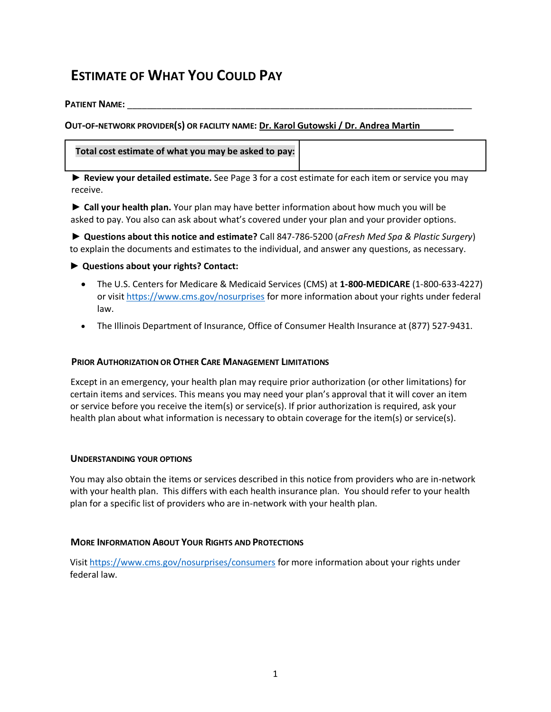# **ESTIMATE OF WHAT YOU COULD PAY**

**PATIENT NAME:** 

**OUT-OF-NETWORK PROVIDER(S) OR FACILITY NAME: Dr. Karol Gutowski / Dr. Andrea Martin**

### **Total cost estimate of what you may be asked to pay:**

**► Review your detailed estimate.** See Page 3 for a cost estimate for each item or service you may receive.

**► Call your health plan.** Your plan may have better information about how much you will be asked to pay. You also can ask about what's covered under your plan and your provider options.

**► Questions about this notice and estimate?** Call 847-786-5200 (*aFresh Med Spa & Plastic Surgery*) to explain the documents and estimates to the individual, and answer any questions, as necessary.

### **► Questions about your rights? Contact:**

- The U.S. Centers for Medicare & Medicaid Services (CMS) at **1-800-MEDICARE** (1-800-633-4227) or visit <https://www.cms.gov/nosurprises> for more information about your rights under federal law.
- The Illinois Department of Insurance, Office of Consumer Health Insurance at (877) 527-9431.

### **PRIOR AUTHORIZATION OR OTHER CARE MANAGEMENT LIMITATIONS**

Except in an emergency, your health plan may require prior authorization (or other limitations) for certain items and services. This means you may need your plan's approval that it will cover an item or service before you receive the item(s) or service(s). If prior authorization is required, ask your health plan about what information is necessary to obtain coverage for the item(s) or service(s).

#### **UNDERSTANDING YOUR OPTIONS**

You may also obtain the items or services described in this notice from providers who are in-network with your health plan. This differs with each health insurance plan. You should refer to your health plan for a specific list of providers who are in-network with your health plan.

### **MORE INFORMATION ABOUT YOUR RIGHTS AND PROTECTIONS**

Visit <https://www.cms.gov/nosurprises/consumers> for more information about your rights under federal law.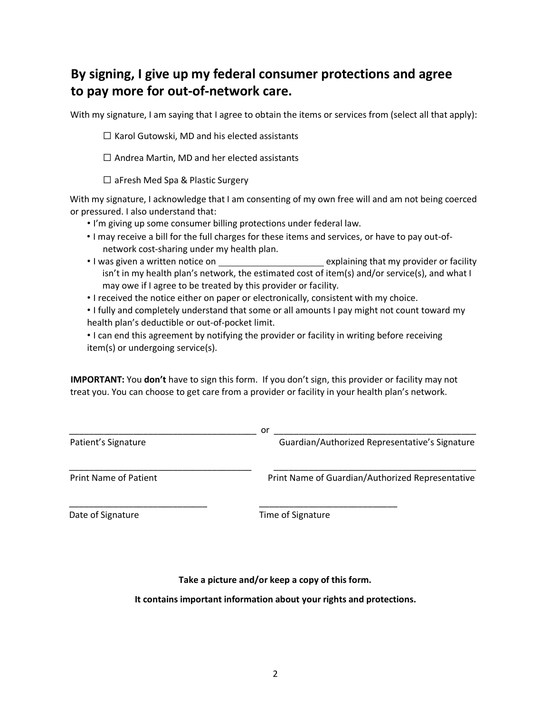## **By signing, I give up my federal consumer protections and agree to pay more for out-of-network care.**

With my signature, I am saying that I agree to obtain the items or services from (select all that apply):

 $\Box$  Karol Gutowski, MD and his elected assistants

☐ Andrea Martin, MD and her elected assistants

 $\Box$  aFresh Med Spa & Plastic Surgery

With my signature, I acknowledge that I am consenting of my own free will and am not being coerced or pressured. I also understand that:

- I'm giving up some consumer billing protections under federal law.
- I may receive a bill for the full charges for these items and services, or have to pay out-ofnetwork cost-sharing under my health plan.
- I was given a written notice on explaining that my provider or facility isn't in my health plan's network, the estimated cost of item(s) and/or service(s), and what I may owe if I agree to be treated by this provider or facility.
- I received the notice either on paper or electronically, consistent with my choice.

• I fully and completely understand that some or all amounts I pay might not count toward my health plan's deductible or out-of-pocket limit.

• I can end this agreement by notifying the provider or facility in writing before receiving item(s) or undergoing service(s).

**IMPORTANT:** You **don't** have to sign this form. If you don't sign, this provider or facility may not treat you. You can choose to get care from a provider or facility in your health plan's network.

|                              | or                                               |
|------------------------------|--------------------------------------------------|
| Patient's Signature          | Guardian/Authorized Representative's Signature   |
| <b>Print Name of Patient</b> | Print Name of Guardian/Authorized Representative |
| Date of Signature            | Time of Signature                                |

**Take a picture and/or keep a copy of this form.**

**It contains important information about your rights and protections.**